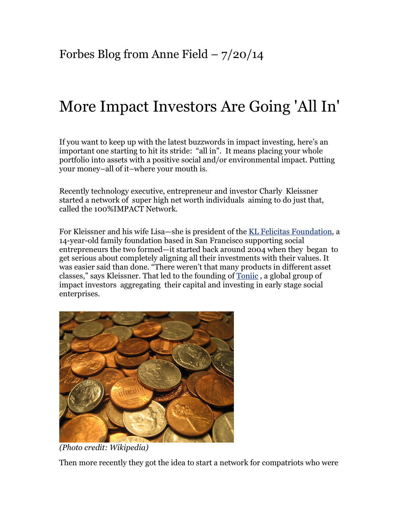## More Impact Investors Are Going 'All In'

If you want to keep up with the latest buzzwords in impact investing, here's an important one starting to hit its stride: "all in". It means placing your whole portfolio into assets with a positive social and/or environmental impact. Putting your money–all of it–where your mouth is.

Recently technology executive, entrepreneur and investor Charly Kleissner started a network of super high net worth individuals aiming to do just that, called the 100%IMPACT Network.

For Kleissner and his wife Lisa—she is president of the KL Felicitas Foundation, a 14-year-old family foundation based in San Francisco supporting social entrepreneurs the two formed—it started back around 2004 when they began to get serious about completely aligning all their investments with their values. It was easier said than done. "There weren't that many products in different asset classes," says Kleissner. That led to the founding of Toniic , a global group of impact investors aggregating their capital and investing in early stage social enterprises.



*(Photo credit: Wikipedia)*

Then more recently they got the idea to start a network for compatriots who were